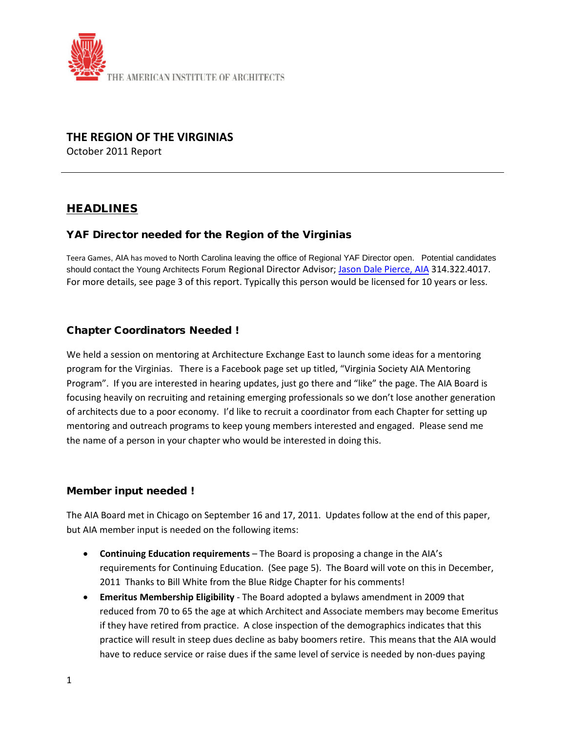

# **THE REGION OF THE VIRGINIAS**

October 2011 Report

# HEADLINES

## YAF Director needed for the Region of the Virginias

Teera Games, AIA has moved to North Carolina leaving the office of Regional YAF Director open. Potential candidates should contact the Young Architects Forum Regional Director Advisor; [Jason Dale Pierce, AIA](mailto:jason.pierce@hok.com) 314.322.4017. For more details, see page 3 of this report. Typically this person would be licensed for 10 years or less.

## Chapter Coordinators Needed !

We held a session on mentoring at Architecture Exchange East to launch some ideas for a mentoring program for the Virginias. There is a Facebook page set up titled, "Virginia Society AIA Mentoring Program". If you are interested in hearing updates, just go there and "like" the page. The AIA Board is focusing heavily on recruiting and retaining emerging professionals so we don't lose another generation of architects due to a poor economy. I'd like to recruit a coordinator from each Chapter for setting up mentoring and outreach programs to keep young members interested and engaged. Please send me the name of a person in your chapter who would be interested in doing this.

## Member input needed !

The AIA Board met in Chicago on September 16 and 17, 2011. Updates follow at the end of this paper, but AIA member input is needed on the following items:

- **Continuing Education requirements** The Board is proposing a change in the AIA's requirements for Continuing Education. (See page 5). The Board will vote on this in December, 2011 Thanks to Bill White from the Blue Ridge Chapter for his comments!
- **Emeritus Membership Eligibility** The Board adopted a bylaws amendment in 2009 that reduced from 70 to 65 the age at which Architect and Associate members may become Emeritus if they have retired from practice. A close inspection of the demographics indicates that this practice will result in steep dues decline as baby boomers retire. This means that the AIA would have to reduce service or raise dues if the same level of service is needed by non-dues paying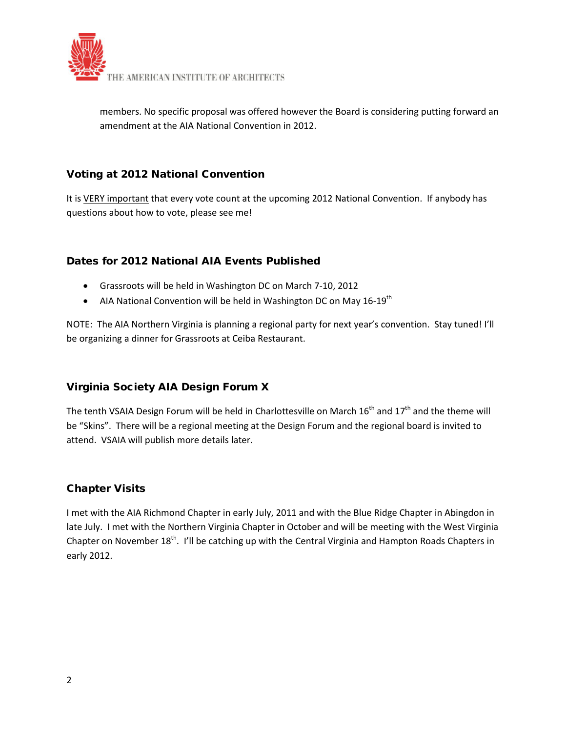

members. No specific proposal was offered however the Board is considering putting forward an amendment at the AIA National Convention in 2012.

## Voting at 2012 National Convention

It is VERY important that every vote count at the upcoming 2012 National Convention. If anybody has questions about how to vote, please see me!

# Dates for 2012 National AIA Events Published

- Grassroots will be held in Washington DC on March 7-10, 2012
- AIA National Convention will be held in Washington DC on May  $16-19^{th}$

NOTE: The AIA Northern Virginia is planning a regional party for next year's convention. Stay tuned! I'll be organizing a dinner for Grassroots at Ceiba Restaurant.

# Virginia Society AIA Design Forum X

The tenth VSAIA Design Forum will be held in Charlottesville on March  $16<sup>th</sup>$  and  $17<sup>th</sup>$  and the theme will be "Skins". There will be a regional meeting at the Design Forum and the regional board is invited to attend. VSAIA will publish more details later.

## Chapter Visits

I met with the AIA Richmond Chapter in early July, 2011 and with the Blue Ridge Chapter in Abingdon in late July. I met with the Northern Virginia Chapter in October and will be meeting with the West Virginia Chapter on November 18<sup>th</sup>. I'll be catching up with the Central Virginia and Hampton Roads Chapters in early 2012.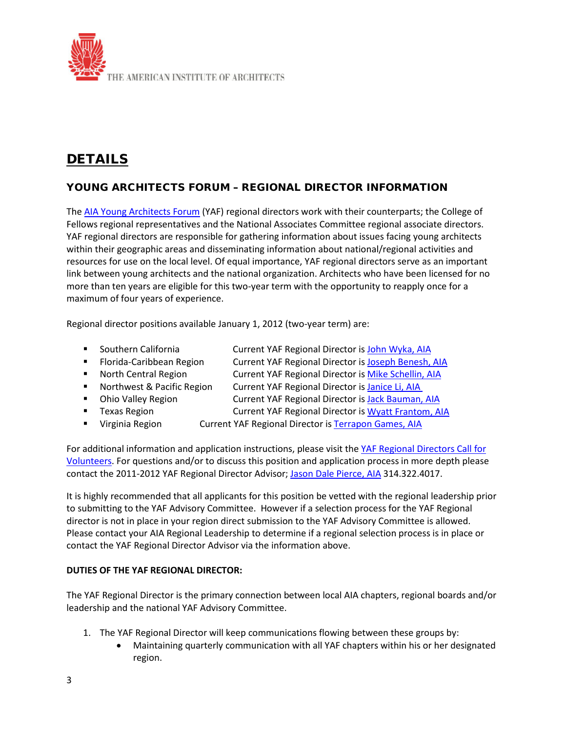

# DETAILS

# YOUNG ARCHITECTS FORUM – REGIONAL DIRECTOR INFORMATION

The [AIA Young Architects Forum](http://lyris.aia.org/t/1228292/3277364/10264/0/) (YAF) regional directors work with their counterparts; the College of Fellows regional representatives and the National Associates Committee regional associate directors. YAF regional directors are responsible for gathering information about issues facing young architects within their geographic areas and disseminating information about national/regional activities and resources for use on the local level. Of equal importance, YAF regional directors serve as an important link between young architects and the national organization. Architects who have been licensed for no more than ten years are eligible for this two-year term with the opportunity to reapply once for a maximum of four years of experience.

Regional director positions available January 1, 2012 (two-year term) are:

- Southern California **Current YAF Regional Director i[s John Wyka, AIA](mailto:john@johnwyka.com)**
- **Fiorida-Caribbean Region Current YAF Regional Director i[s Joseph Benesh, AIA](mailto:jbenesh@comcast.net)**
- North Central Region Current YAF Regional Director i[s Mike Schellin, AIA](mailto:mschellin@kodet.com)
- Northwest & Pacific Region Current YAF Regional Director is Janice Li, AIA
- 
- Ohio Valley Region Current YAF Regional Director i[s Jack Bauman, AIA](mailto:jbaumann@bsa-net.com)
- **Texas Region Current YAF Regional Director i[s Wyatt Frantom, AIA](mailto:wyatt.frantom@live.com)**
- **Uirginia Region Current YAF Regional Director i[s Terrapon Games, AIA](mailto:tgames@cannondesign.com)**

For additional information and application instructions, please visit the YAF Regional Directors Call for [Volunteers.](http://lyris.aia.org/t/1228292/3277364/12631/0/) For questions and/or to discuss this position and application process in more depth please contact the 2011-2012 YAF Regional Director Advisor; [Jason Dale Pierce, AIA](mailto:jason.pierce@hok.com) 314.322.4017.

It is highly recommended that all applicants for this position be vetted with the regional leadership prior to submitting to the YAF Advisory Committee. However if a selection process for the YAF Regional director is not in place in your region direct submission to the YAF Advisory Committee is allowed. Please contact your AIA Regional Leadership to determine if a regional selection process is in place or contact the YAF Regional Director Advisor via the information above.

#### **DUTIES OF THE YAF REGIONAL DIRECTOR:**

The YAF Regional Director is the primary connection between local AIA chapters, regional boards and/or leadership and the national YAF Advisory Committee.

- 1. The YAF Regional Director will keep communications flowing between these groups by:
	- Maintaining quarterly communication with all YAF chapters within his or her designated region.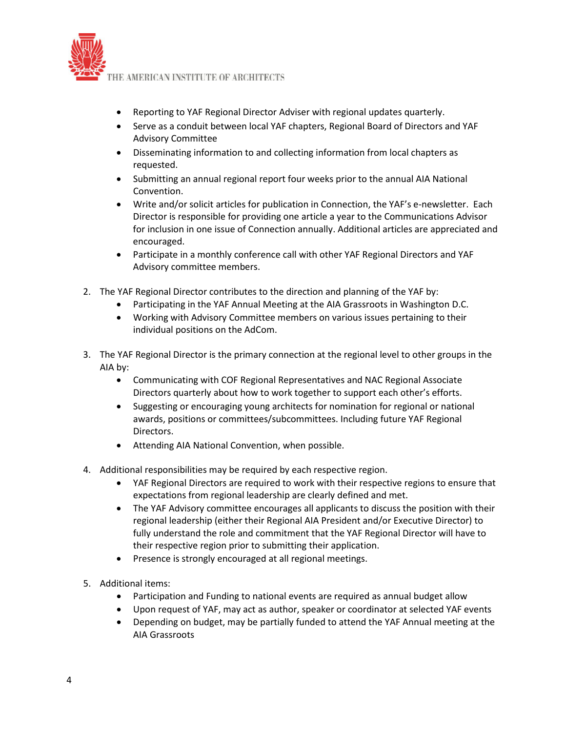

- Reporting to YAF Regional Director Adviser with regional updates quarterly.
- Serve as a conduit between local YAF chapters, Regional Board of Directors and YAF Advisory Committee
- Disseminating information to and collecting information from local chapters as requested.
- Submitting an annual regional report four weeks prior to the annual AIA National Convention.
- Write and/or solicit articles for publication in Connection, the YAF's e-newsletter. Each Director is responsible for providing one article a year to the Communications Advisor for inclusion in one issue of Connection annually. Additional articles are appreciated and encouraged.
- Participate in a monthly conference call with other YAF Regional Directors and YAF Advisory committee members.
- 2. The YAF Regional Director contributes to the direction and planning of the YAF by:
	- Participating in the YAF Annual Meeting at the AIA Grassroots in Washington D.C.
	- Working with Advisory Committee members on various issues pertaining to their individual positions on the AdCom.
- 3. The YAF Regional Director is the primary connection at the regional level to other groups in the AIA by:
	- Communicating with COF Regional Representatives and NAC Regional Associate Directors quarterly about how to work together to support each other's efforts.
	- Suggesting or encouraging young architects for nomination for regional or national awards, positions or committees/subcommittees. Including future YAF Regional Directors.
	- Attending AIA National Convention, when possible.
- 4. Additional responsibilities may be required by each respective region.
	- YAF Regional Directors are required to work with their respective regions to ensure that expectations from regional leadership are clearly defined and met.
	- The YAF Advisory committee encourages all applicants to discuss the position with their regional leadership (either their Regional AIA President and/or Executive Director) to fully understand the role and commitment that the YAF Regional Director will have to their respective region prior to submitting their application.
	- Presence is strongly encouraged at all regional meetings.
- 5. Additional items:
	- Participation and Funding to national events are required as annual budget allow
	- Upon request of YAF, may act as author, speaker or coordinator at selected YAF events
	- Depending on budget, may be partially funded to attend the YAF Annual meeting at the AIA Grassroots